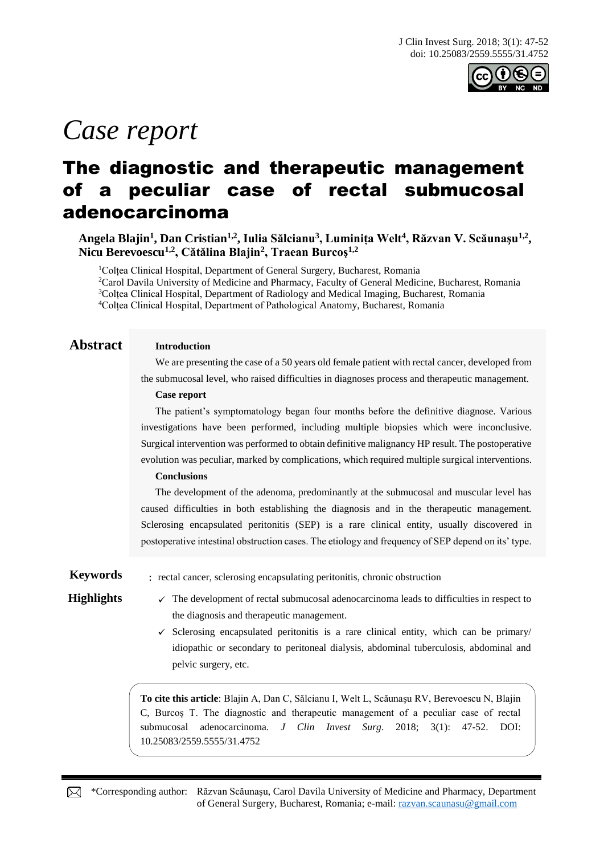

# *Case report*

## The diagnostic and therapeutic management of a peculiar case of rectal submucosal adenocarcinoma

**Angela Blajin<sup>1</sup> , Dan Cristian1,2 , Iulia Sălcianu<sup>3</sup> , Luminița Welt<sup>4</sup> , Răzvan V. Scăunaşu1,2 , Nicu Berevoescu1,2, Cătălina Blajin<sup>2</sup> , Traean Burcoş1,2**

<sup>1</sup>Colțea Clinical Hospital, Department of General Surgery, Bucharest, Romania Carol Davila University of Medicine and Pharmacy, Faculty of General Medicine, Bucharest, Romania Colțea Clinical Hospital, Department of Radiology and Medical Imaging, Bucharest, Romania Colțea Clinical Hospital, Department of Pathological Anatomy, Bucharest, Romania

### **Abstract Introduction**

We are presenting the case of a 50 years old female patient with rectal cancer, developed from the submucosal level, who raised difficulties in diagnoses process and therapeutic management.

### **Case report**

The patient's symptomatology began four months before the definitive diagnose. Various investigations have been performed, including multiple biopsies which were inconclusive. Surgical intervention was performed to obtain definitive malignancy HP result. The postoperative evolution was peculiar, marked by complications, which required multiple surgical interventions.

### **Conclusions**

The development of the adenoma, predominantly at the submucosal and muscular level has caused difficulties in both establishing the diagnosis and in the therapeutic management. Sclerosing encapsulated peritonitis (SEP) is a rare clinical entity, usually discovered in postoperative intestinal obstruction cases. The etiology and frequency of SEP depend on its' type.

**Keywords** : rectal cancer, sclerosing encapsulating peritonitis, chronic obstruction

**Highlights**  $\checkmark$  The development of rectal submucosal adenocarcinoma leads to difficulties in respect to the diagnosis and therapeutic management.

> $\checkmark$  Sclerosing encapsulated peritonitis is a rare clinical entity, which can be primary/ idiopathic or secondary to peritoneal dialysis, abdominal tuberculosis, abdominal and pelvic surgery, etc.

**To cite this article**: Blajin A, Dan C, Sălcianu I, Welt L, Scăunaşu RV, Berevoescu N, Blajin C, Burcoş T. The diagnostic and therapeutic management of a peculiar case of rectal submucosal adenocarcinoma. *J Clin Invest Surg*. 2018; 3(1): 47-52. DOI: 10.25083/2559.5555/31.4752

\*Corresponding author: Răzvan Scăunaşu, Carol Davila University of Medicine and Pharmacy, Department of General Surgery, Bucharest, Romania; e-mail: [razvan.scaunasu@gmail.com](mailto:razvan.scaunasu@gmail.com)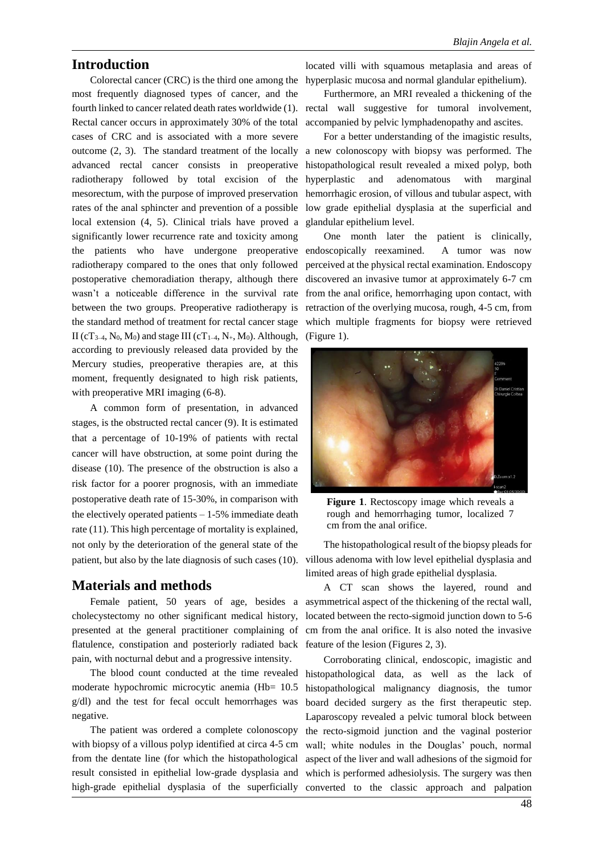### **Introduction**

Colorectal cancer (CRC) is the third one among the most frequently diagnosed types of cancer, and the Rectal cancer occurs in approximately 30% of the total cases of CRC and is associated with a more severe advanced rectal cancer consists in preoperative radiotherapy followed by total excision of the mesorectum, with the purpose of improved preservation rates of the anal sphincter and prevention of a possible local extension (4, 5). Clinical trials have proved a significantly lower recurrence rate and toxicity among the patients who have undergone preoperative radiotherapy compared to the ones that only followed postoperative chemoradiation therapy, although there wasn't a noticeable difference in the survival rate between the two groups. Preoperative radiotherapy is the standard method of treatment for rectal cancer stage II (cT<sub>3–4</sub>, N<sub>0</sub>, M<sub>0</sub>) and stage III (cT<sub>1–4</sub>, N<sub>+</sub>, M<sub>0</sub>). Although, according to previously released data provided by the Mercury studies, preoperative therapies are, at this moment, frequently designated to high risk patients, with preoperative MRI imaging  $(6-8)$ .

A common form of presentation, in advanced stages, is the obstructed rectal cancer (9). It is estimated that a percentage of 10-19% of patients with rectal cancer will have obstruction, at some point during the disease (10). The presence of the obstruction is also a risk factor for a poorer prognosis, with an immediate postoperative death rate of 15-30%, in comparison with the electively operated patients  $-1-5%$  immediate death rate (11). This high percentage of mortality is explained, not only by the deterioration of the general state of the patient, but also by the late diagnosis of such cases (10).

### **Materials and methods**

cholecystectomy no other significant medical history, flatulence, constipation and posteriorly radiated back feature of the lesion (Figures 2, 3). pain, with nocturnal debut and a progressive intensity.

The blood count conducted at the time revealed moderate hypochromic microcytic anemia (Hb= 10.5 g/dl) and the test for fecal occult hemorrhages was negative.

The patient was ordered a complete colonoscopy with biopsy of a villous polyp identified at circa 4-5 cm from the dentate line (for which the histopathological result consisted in epithelial low-grade dysplasia and high-grade epithelial dysplasia of the superficially

located villi with squamous metaplasia and areas of hyperplasic mucosa and normal glandular epithelium).

fourth linked to cancer related death rates worldwide (1). rectal wall suggestive for tumoral involvement, Furthermore, an MRI revealed a thickening of the accompanied by pelvic lymphadenopathy and ascites.

outcome (2, 3). The standard treatment of the locally a new colonoscopy with biopsy was performed. The For a better understanding of the imagistic results, histopathological result revealed a mixed polyp, both hyperplastic and adenomatous with marginal hemorrhagic erosion, of villous and tubular aspect, with low grade epithelial dysplasia at the superficial and glandular epithelium level.

> One month later the patient is clinically, endoscopically reexamined. A tumor was now perceived at the physical rectal examination. Endoscopy discovered an invasive tumor at approximately 6-7 cm from the anal orifice, hemorrhaging upon contact, with retraction of the overlying mucosa, rough, 4-5 cm, from which multiple fragments for biopsy were retrieved (Figure 1).



**Figure 1**. Rectoscopy image which reveals a rough and hemorrhaging tumor, localized 7 cm from the anal orifice.

The histopathological result of the biopsy pleads for villous adenoma with low level epithelial dysplasia and limited areas of high grade epithelial dysplasia.

Female patient, 50 years of age, besides a asymmetrical aspect of the thickening of the rectal wall, presented at the general practitioner complaining of cm from the anal orifice. It is also noted the invasive A CT scan shows the layered, round and located between the recto-sigmoid junction down to 5-6

> Corroborating clinical, endoscopic, imagistic and histopathological data, as well as the lack of histopathological malignancy diagnosis, the tumor board decided surgery as the first therapeutic step. Laparoscopy revealed a pelvic tumoral block between the recto-sigmoid junction and the vaginal posterior wall; white nodules in the Douglas' pouch, normal aspect of the liver and wall adhesions of the sigmoid for which is performed adhesiolysis. The surgery was then converted to the classic approach and palpation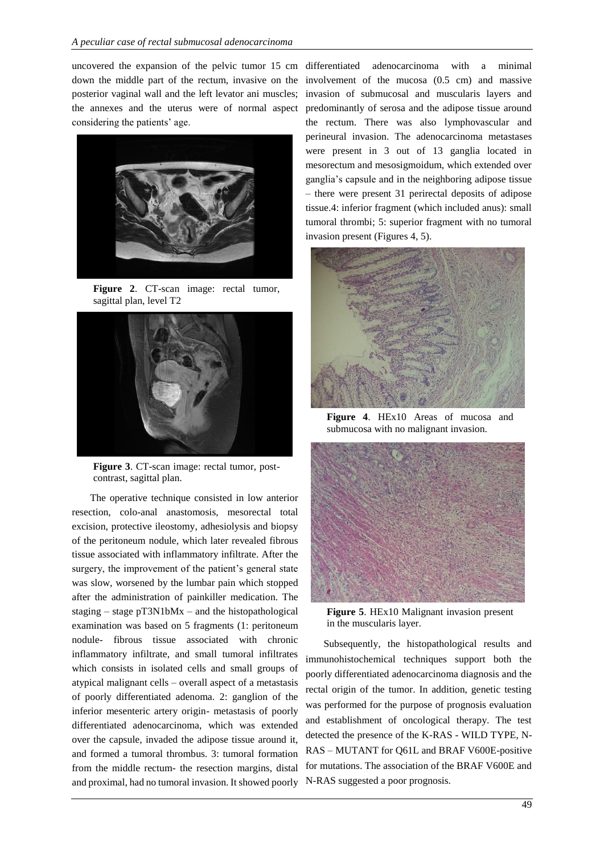uncovered the expansion of the pelvic tumor 15 cm down the middle part of the rectum, invasive on the posterior vaginal wall and the left levator ani muscles; the annexes and the uterus were of normal aspect considering the patients' age.



**Figure 2**. CT-scan image: rectal tumor, sagittal plan, level T2



**Figure 3**. CT-scan image: rectal tumor, postcontrast, sagittal plan.

The operative technique consisted in low anterior resection, colo-anal anastomosis, mesorectal total excision, protective ileostomy, adhesiolysis and biopsy of the peritoneum nodule, which later revealed fibrous tissue associated with inflammatory infiltrate. After the surgery, the improvement of the patient's general state was slow, worsened by the lumbar pain which stopped after the administration of painkiller medication. The staging – stage pT3N1bMx – and the histopathological examination was based on 5 fragments (1: peritoneum nodule- fibrous tissue associated with chronic inflammatory infiltrate, and small tumoral infiltrates which consists in isolated cells and small groups of atypical malignant cells – overall aspect of a metastasis of poorly differentiated adenoma. 2: ganglion of the inferior mesenteric artery origin- metastasis of poorly differentiated adenocarcinoma, which was extended over the capsule, invaded the adipose tissue around it, and formed a tumoral thrombus. 3: tumoral formation from the middle rectum- the resection margins, distal and proximal, had no tumoral invasion. It showed poorly N-RAS suggested a poor prognosis.

differentiated adenocarcinoma with a minimal involvement of the mucosa (0.5 cm) and massive invasion of submucosal and muscularis layers and predominantly of serosa and the adipose tissue around the rectum. There was also lymphovascular and perineural invasion. The adenocarcinoma metastases were present in 3 out of 13 ganglia located in mesorectum and mesosigmoidum, which extended over ganglia's capsule and in the neighboring adipose tissue – there were present 31 perirectal deposits of adipose tissue.4: inferior fragment (which included anus): small tumoral thrombi; 5: superior fragment with no tumoral invasion present (Figures 4, 5).



**Figure 4**. HEx10 Areas of mucosa and submucosa with no malignant invasion.



**Figure 5**. HEx10 Malignant invasion present in the muscularis layer.

Subsequently, the histopathological results and immunohistochemical techniques support both the poorly differentiated adenocarcinoma diagnosis and the rectal origin of the tumor. In addition, genetic testing was performed for the purpose of prognosis evaluation and establishment of oncological therapy. The test detected the presence of the K-RAS - WILD TYPE, N-RAS – MUTANT for Q61L and BRAF V600E-positive for mutations. The association of the BRAF V600E and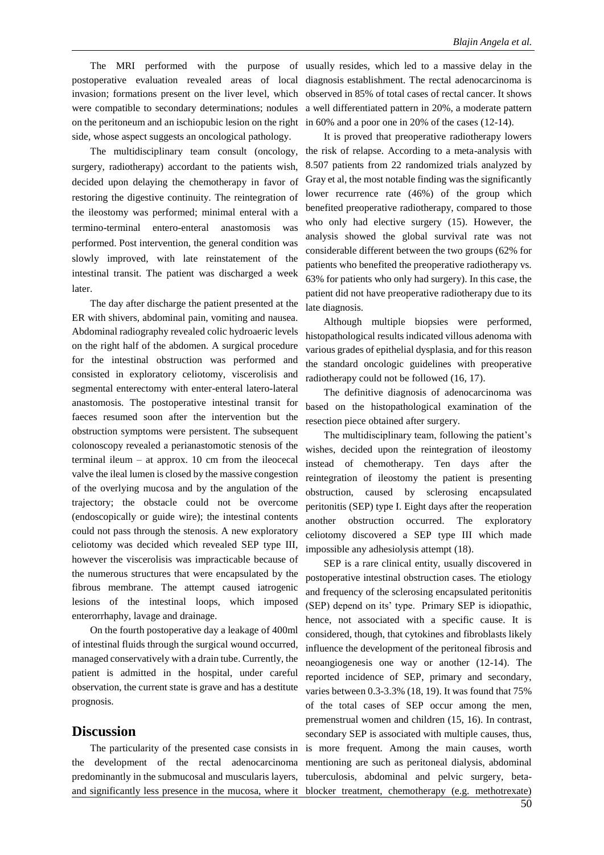postoperative evaluation revealed areas of local invasion; formations present on the liver level, which were compatible to secondary determinations; nodules on the peritoneum and an ischiopubic lesion on the right side, whose aspect suggests an oncological pathology.

The multidisciplinary team consult (oncology, surgery, radiotherapy) accordant to the patients wish, decided upon delaying the chemotherapy in favor of restoring the digestive continuity. The reintegration of the ileostomy was performed; minimal enteral with a termino-terminal entero-enteral anastomosis was performed. Post intervention, the general condition was slowly improved, with late reinstatement of the intestinal transit. The patient was discharged a week later.

The day after discharge the patient presented at the ER with shivers, abdominal pain, vomiting and nausea. Abdominal radiography revealed colic hydroaeric levels on the right half of the abdomen. A surgical procedure for the intestinal obstruction was performed and consisted in exploratory celiotomy, viscerolisis and segmental enterectomy with enter-enteral latero-lateral anastomosis. The postoperative intestinal transit for faeces resumed soon after the intervention but the obstruction symptoms were persistent. The subsequent colonoscopy revealed a perianastomotic stenosis of the terminal ileum – at approx. 10 cm from the ileocecal valve the ileal lumen is closed by the massive congestion of the overlying mucosa and by the angulation of the trajectory; the obstacle could not be overcome (endoscopically or guide wire); the intestinal contents could not pass through the stenosis. A new exploratory celiotomy was decided which revealed SEP type III, however the viscerolisis was impracticable because of the numerous structures that were encapsulated by the fibrous membrane. The attempt caused iatrogenic lesions of the intestinal loops, which imposed enterorrhaphy, lavage and drainage.

On the fourth postoperative day a leakage of 400ml of intestinal fluids through the surgical wound occurred, managed conservatively with a drain tube. Currently, the patient is admitted in the hospital, under careful observation, the current state is grave and has a destitute prognosis.

### **Discussion**

the development of the rectal adenocarcinoma predominantly in the submucosal and muscularis layers,

The MRI performed with the purpose of usually resides, which led to a massive delay in the diagnosis establishment. The rectal adenocarcinoma is observed in 85% of total cases of rectal cancer. It shows a well differentiated pattern in 20%, a moderate pattern in 60% and a poor one in 20% of the cases (12-14).

> It is proved that preoperative radiotherapy lowers the risk of relapse. According to a meta-analysis with 8.507 patients from 22 randomized trials analyzed by Gray et al, the most notable finding was the significantly lower recurrence rate (46%) of the group which benefited preoperative radiotherapy, compared to those who only had elective surgery (15). However, the analysis showed the global survival rate was not considerable different between the two groups (62% for patients who benefited the preoperative radiotherapy vs. 63% for patients who only had surgery). In this case, the patient did not have preoperative radiotherapy due to its late diagnosis.

> Although multiple biopsies were performed, histopathological results indicated villous adenoma with various grades of epithelial dysplasia, and for this reason the standard oncologic guidelines with preoperative radiotherapy could not be followed (16, 17).

> The definitive diagnosis of adenocarcinoma was based on the histopathological examination of the resection piece obtained after surgery.

> The multidisciplinary team, following the patient's wishes, decided upon the reintegration of ileostomy instead of chemotherapy. Ten days after the reintegration of ileostomy the patient is presenting obstruction, caused by sclerosing encapsulated peritonitis (SEP) type I. Eight days after the reoperation another obstruction occurred. The exploratory celiotomy discovered a SEP type III which made impossible any adhesiolysis attempt (18).

The particularity of the presented case consists in is more frequent. Among the main causes, worth and significantly less presence in the mucosa, where it blocker treatment, chemotherapy (e.g. methotrexate) SEP is a rare clinical entity, usually discovered in postoperative intestinal obstruction cases. The etiology and frequency of the sclerosing encapsulated peritonitis (SEP) depend on its' type. Primary SEP is idiopathic, hence, not associated with a specific cause. It is considered, though, that cytokines and fibroblasts likely influence the development of the peritoneal fibrosis and neoangiogenesis one way or another (12-14). The reported incidence of SEP, primary and secondary, varies between 0.3-3.3% (18, 19). It was found that 75% of the total cases of SEP occur among the men, premenstrual women and children (15, 16). In contrast, secondary SEP is associated with multiple causes, thus, mentioning are such as peritoneal dialysis, abdominal tuberculosis, abdominal and pelvic surgery, beta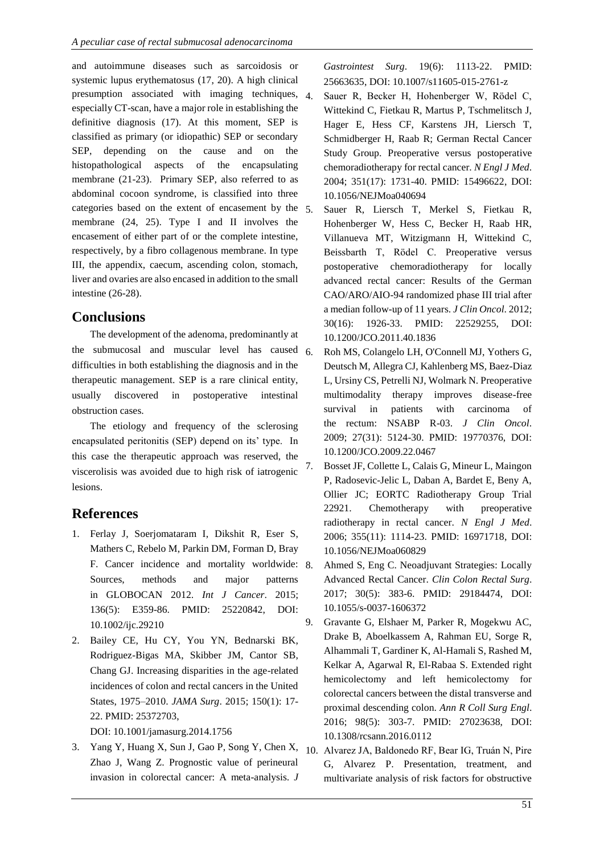and autoimmune diseases such as sarcoidosis or systemic lupus erythematosus (17, 20). A high clinical presumption associated with imaging techniques, 4. especially CT-scan, have a major role in establishing the definitive diagnosis (17). At this moment, SEP is classified as primary (or idiopathic) SEP or secondary SEP, depending on the cause and on the histopathological aspects of the encapsulating membrane (21-23). Primary SEP, also referred to as abdominal cocoon syndrome, is classified into three categories based on the extent of encasement by the membrane (24, 25). Type I and II involves the encasement of either part of or the complete intestine, respectively, by a fibro collagenous membrane. In type III, the appendix, caecum, ascending colon, stomach, liver and ovaries are also encased in addition to the small intestine (26-28).

### **Conclusions**

The development of the adenoma, predominantly at the submucosal and muscular level has caused difficulties in both establishing the diagnosis and in the therapeutic management. SEP is a rare clinical entity, usually discovered in postoperative intestinal obstruction cases.

The etiology and frequency of the sclerosing encapsulated peritonitis (SEP) depend on its' type. In this case the therapeutic approach was reserved, the viscerolisis was avoided due to high risk of iatrogenic lesions.

### **References**

- 1. Ferlay J, Soerjomataram I, Dikshit R, Eser S, Mathers C, Rebelo M, Parkin DM, Forman D, Bray F. Cancer incidence and mortality worldwide: Sources, methods and major patterns in GLOBOCAN 2012. *Int J Cancer*. 2015; 136(5): E359-86. PMID: 25220842, DOI: 10.1002/ijc.29210
- 2. Bailey CE, Hu CY, You YN, Bednarski BK, Rodriguez-Bigas MA, Skibber JM, Cantor SB, Chang GJ. Increasing disparities in the age-related incidences of colon and rectal cancers in the United States, 1975–2010. *JAMA Surg*. 2015; 150(1): 17- 22. PMID: 25372703,

DOI: 10.1001/jamasurg.2014.1756

3. Yang Y, Huang X, Sun J, Gao P, Song Y, Chen X, Zhao J, Wang Z. Prognostic value of perineural invasion in colorectal cancer: A meta-analysis. *J* 

*Gastrointest Surg*. 19(6): 1113-22. PMID: 25663635, DOI: 10.1007/s11605-015-2761-z

- 4. Sauer R, Becker H, Hohenberger W, Rödel C, Wittekind C, Fietkau R, Martus P, Tschmelitsch J, Hager E, Hess CF, Karstens JH, Liersch T, Schmidberger H, Raab R; German Rectal Cancer Study Group. Preoperative versus postoperative chemoradiotherapy for rectal cancer. *N Engl J Med*. 2004; 351(17): 1731-40. PMID: 15496622, DOI: 10.1056/NEJMoa040694
- 5. Sauer R, Liersch T, Merkel S, Fietkau R, Hohenberger W, Hess C, Becker H, Raab HR, Villanueva MT, Witzigmann H, Wittekind C, Beissbarth T, Rödel C. Preoperative versus postoperative chemoradiotherapy for locally advanced rectal cancer: Results of the German CAO/ARO/AIO-94 randomized phase III trial after a median follow-up of 11 years. *J Clin Oncol*. 2012; 30(16): 1926-33. PMID: 22529255, DOI: 10.1200/JCO.2011.40.1836
- 6. Roh MS, Colangelo LH, O'Connell MJ, Yothers G, Deutsch M, Allegra CJ, Kahlenberg MS, Baez-Diaz L, Ursiny CS, Petrelli NJ, Wolmark N. Preoperative multimodality therapy improves disease-free survival in patients with carcinoma of the rectum: NSABP R-03. *J Clin Oncol*. 2009; 27(31): 5124-30. PMID: 19770376, DOI: 10.1200/JCO.2009.22.0467
- 7. Bosset JF, Collette L, Calais G, Mineur L, Maingon P, Radosevic-Jelic L, Daban A, Bardet E, Beny A, Ollier JC; EORTC Radiotherapy Group Trial 22921. Chemotherapy with preoperative radiotherapy in rectal cancer. *N Engl J Med*. 2006; 355(11): 1114-23. PMID: 16971718, DOI: 10.1056/NEJMoa060829
- 8. Ahmed S, Eng C. Neoadjuvant Strategies: Locally Advanced Rectal Cancer. *Clin Colon Rectal Surg*. 2017; 30(5): 383-6. PMID: 29184474, DOI: 10.1055/s-0037-1606372
- 9. Gravante G, Elshaer M, Parker R, Mogekwu AC, Drake B, Aboelkassem A, Rahman EU, Sorge R, Alhammali T, Gardiner K, Al-Hamali S, Rashed M, Kelkar A, Agarwal R, El-Rabaa S. Extended right hemicolectomy and left hemicolectomy for colorectal cancers between the distal transverse and proximal descending colon. *Ann R Coll Surg Engl*. 2016; 98(5): 303-7. PMID: 27023638, DOI: 10.1308/rcsann.2016.0112
- 10. Alvarez JA, Baldonedo RF, Bear IG, Truán N, Pire G, Alvarez P. Presentation, treatment, and multivariate analysis of risk factors for obstructive